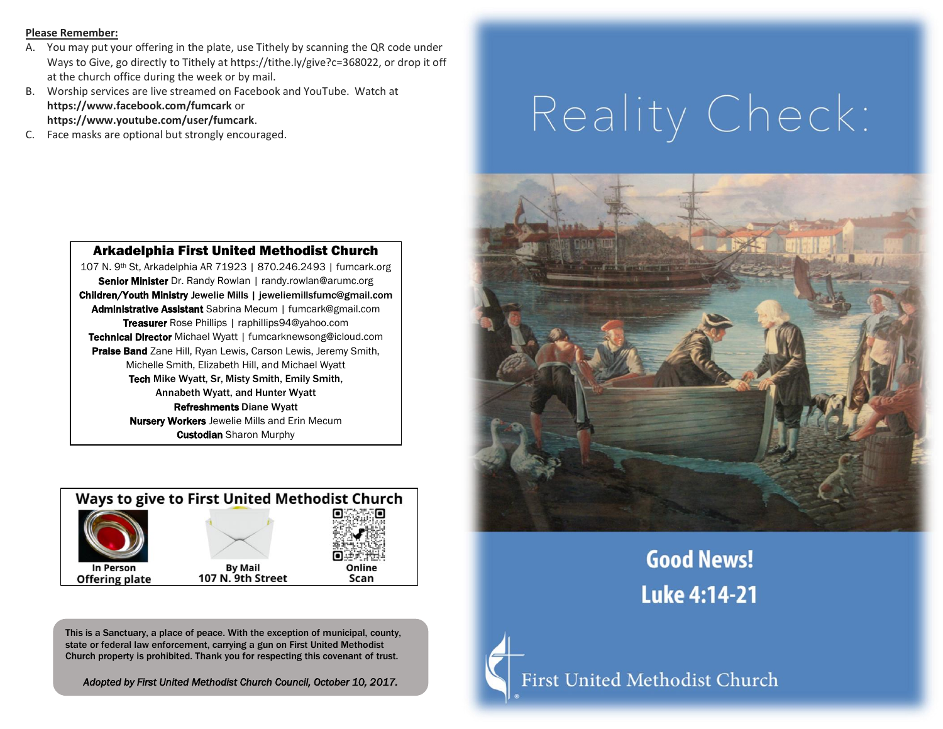#### **Please Remember:**

- A. You may put your offering in the plate, use Tithely by scanning the QR code under Ways to Give, go directly to Tithely at https://tithe.ly/give?c=368022, or drop it off at the church office during the week or by mail.
- B. Worship services are live streamed on Facebook and YouTube. Watch at **https://www.facebook.com/fumcark** or **https://www.youtube.com/user/fumcark**.
- C. Face masks are optional but strongly encouraged.

# Reality Check:



## **Good News! Luke 4:14-21**



First United Methodist Church

#### Arkadelphia First United Methodist Church

107 N. 9th St, Arkadelphia AR 71923 | 870.246.2493 | fumcark.org Senior Minister Dr. Randy Rowlan | randy.rowlan@arumc.org Children/Youth Ministry Jewelie Mills | jeweliemillsfumc@gmail.com Administrative Assistant Sabrina Mecum | fumcark@gmail.com Treasurer Rose Phillips | raphillips94@yahoo.com Technical Director Michael Wyatt | fumcarknewsong@icloud.com Praise Band Zane Hill, Ryan Lewis, Carson Lewis, Jeremy Smith, Michelle Smith, Elizabeth Hill, and Michael Wyatt Tech Mike Wyatt, Sr, Misty Smith, Emily Smith, Annabeth Wyatt, and Hunter Wyatt Refreshments Diane Wyatt **Nursery Workers** Jewelie Mills and Erin Mecum **Custodian** Sharon Murphy



This is a Sanctuary, a place of peace. With the exception of municipal, county, state or federal law enforcement, carrying a gun on First United Methodist Church property is prohibited. Thank you for respecting this covenant of trust.

*Adopted by First United Methodist Church Council, October 10, 2017.*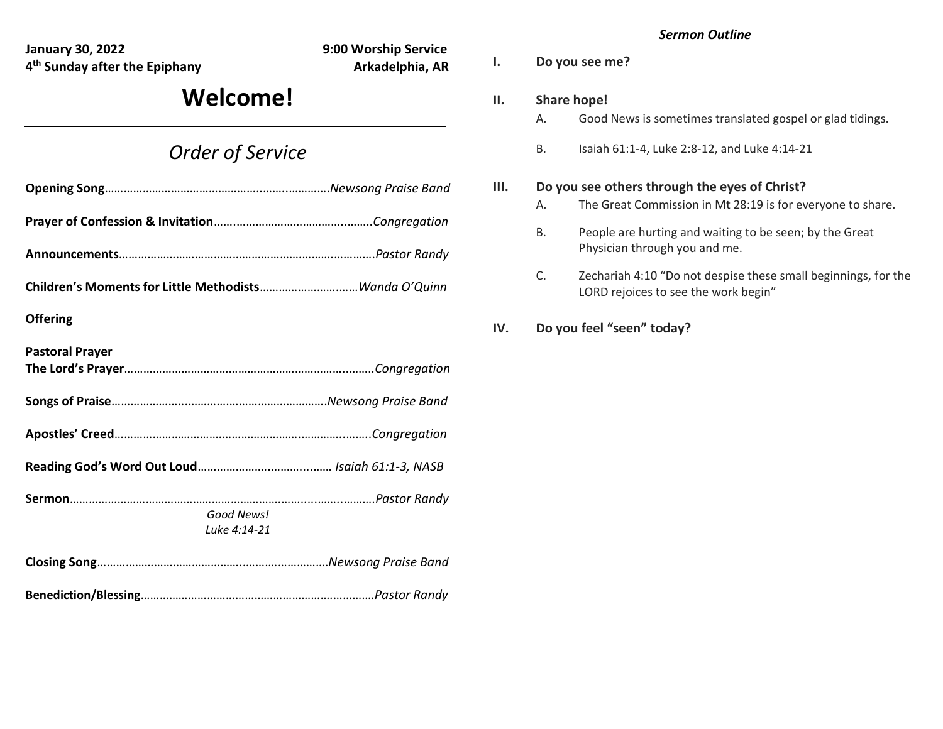**January 30, 2022 9:00 Worship Service 4 th Sunday after the Epiphany Arkadelphia, AR**

## **Welcome!**

### *Order of Service*

| <b>Offering</b>            |  |
|----------------------------|--|
| <b>Pastoral Prayer</b>     |  |
|                            |  |
|                            |  |
|                            |  |
| Good News!<br>Luke 4:14-21 |  |
|                            |  |

**Benediction/Blessing**…………………………………………………….………….*Pastor Randy*

#### *Sermon Outline*

**I. Do you see me?**

#### **II. Share hope!**

- A. Good News is sometimes translated gospel or glad tidings.
- B. Isaiah 61:1-4, Luke 2:8-12, and Luke 4:14-21

#### **III. Do you see others through the eyes of Christ?**

- A. The Great Commission in Mt 28:19 is for everyone to share.
- B. People are hurting and waiting to be seen; by the Great Physician through you and me.
- C. Zechariah 4:10 "Do not despise these small beginnings, for the LORD rejoices to see the work begin"
- **IV. Do you feel "seen" today?**